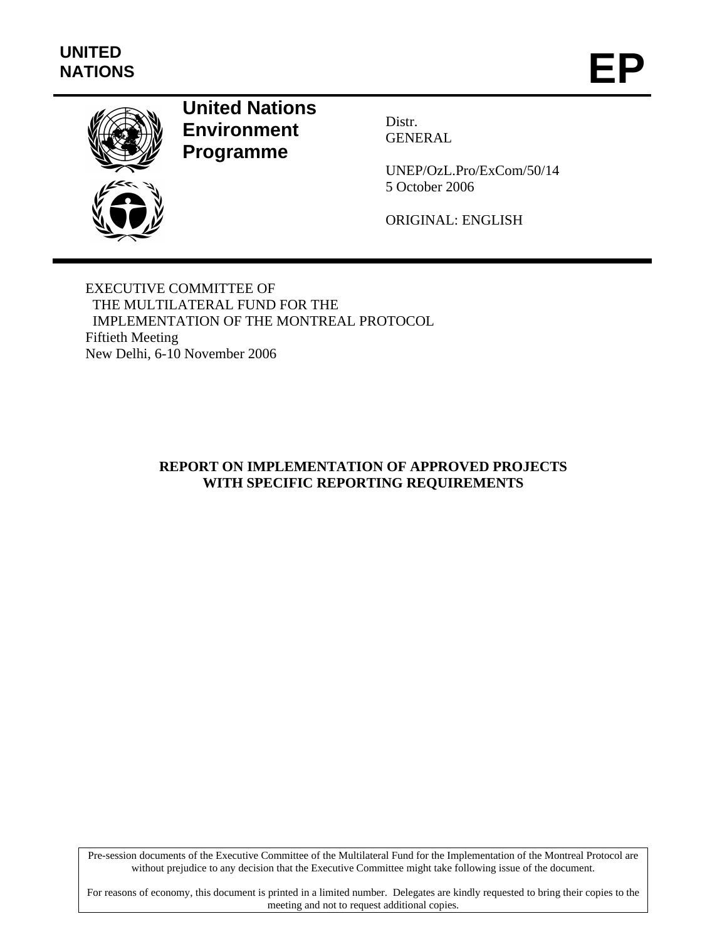

# **United Nations Environment Programme**

Distr. GENERAL

UNEP/OzL.Pro/ExCom/50/14 5 October 2006

ORIGINAL: ENGLISH

EXECUTIVE COMMITTEE OF THE MULTILATERAL FUND FOR THE IMPLEMENTATION OF THE MONTREAL PROTOCOL Fiftieth Meeting New Delhi, 6-10 November 2006

# **REPORT ON IMPLEMENTATION OF APPROVED PROJECTS WITH SPECIFIC REPORTING REQUIREMENTS**

Pre-session documents of the Executive Committee of the Multilateral Fund for the Implementation of the Montreal Protocol are without prejudice to any decision that the Executive Committee might take following issue of the document.

For reasons of economy, this document is printed in a limited number. Delegates are kindly requested to bring their copies to the meeting and not to request additional copies.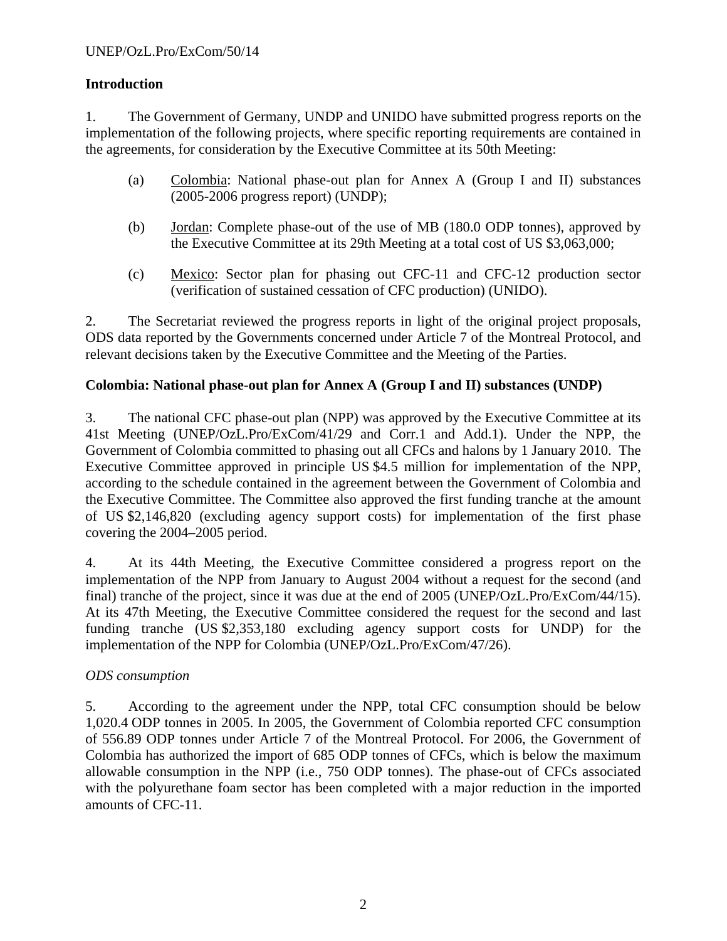# **Introduction**

1. The Government of Germany, UNDP and UNIDO have submitted progress reports on the implementation of the following projects, where specific reporting requirements are contained in the agreements, for consideration by the Executive Committee at its 50th Meeting:

- (a) Colombia: National phase-out plan for Annex A (Group I and II) substances (2005-2006 progress report) (UNDP);
- (b) Jordan: Complete phase-out of the use of MB (180.0 ODP tonnes), approved by the Executive Committee at its 29th Meeting at a total cost of US \$3,063,000;
- (c) Mexico: Sector plan for phasing out CFC-11 and CFC-12 production sector (verification of sustained cessation of CFC production) (UNIDO).

2. The Secretariat reviewed the progress reports in light of the original project proposals, ODS data reported by the Governments concerned under Article 7 of the Montreal Protocol, and relevant decisions taken by the Executive Committee and the Meeting of the Parties.

# **Colombia: National phase-out plan for Annex A (Group I and II) substances (UNDP)**

3. The national CFC phase-out plan (NPP) was approved by the Executive Committee at its 41st Meeting (UNEP/OzL.Pro/ExCom/41/29 and Corr.1 and Add.1). Under the NPP, the Government of Colombia committed to phasing out all CFCs and halons by 1 January 2010. The Executive Committee approved in principle US \$4.5 million for implementation of the NPP, according to the schedule contained in the agreement between the Government of Colombia and the Executive Committee. The Committee also approved the first funding tranche at the amount of US \$2,146,820 (excluding agency support costs) for implementation of the first phase covering the 2004–2005 period.

4. At its 44th Meeting, the Executive Committee considered a progress report on the implementation of the NPP from January to August 2004 without a request for the second (and final) tranche of the project, since it was due at the end of 2005 (UNEP/OzL.Pro/ExCom/44/15). At its 47th Meeting, the Executive Committee considered the request for the second and last funding tranche (US \$2,353,180 excluding agency support costs for UNDP) for the implementation of the NPP for Colombia (UNEP/OzL.Pro/ExCom/47/26).

# *ODS consumption*

5. According to the agreement under the NPP, total CFC consumption should be below 1,020.4 ODP tonnes in 2005. In 2005, the Government of Colombia reported CFC consumption of 556.89 ODP tonnes under Article 7 of the Montreal Protocol. For 2006, the Government of Colombia has authorized the import of 685 ODP tonnes of CFCs, which is below the maximum allowable consumption in the NPP (i.e., 750 ODP tonnes). The phase-out of CFCs associated with the polyurethane foam sector has been completed with a major reduction in the imported amounts of CFC-11.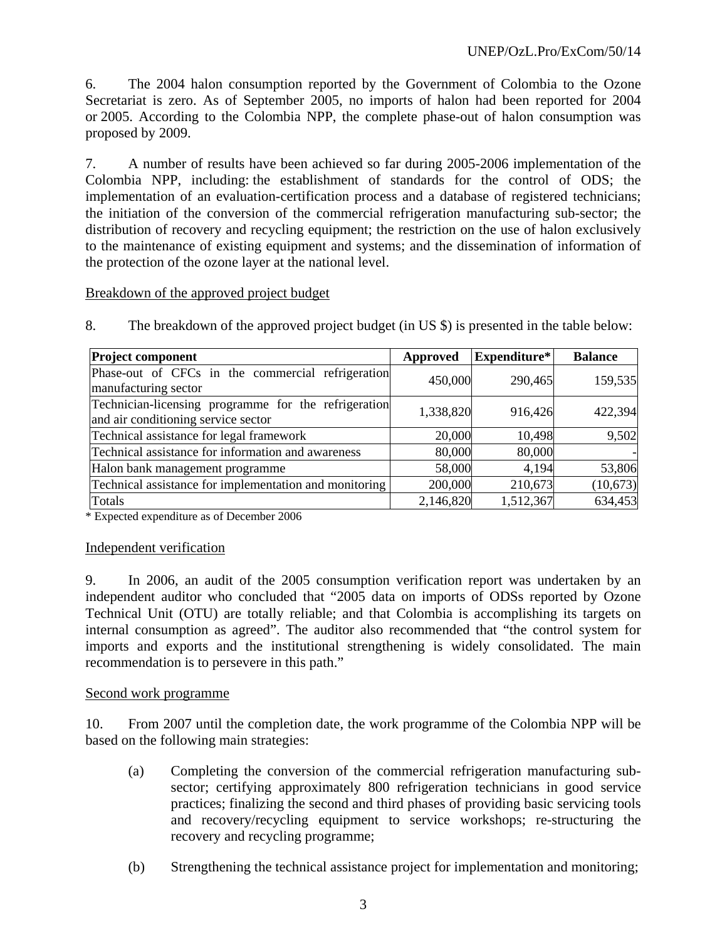6. The 2004 halon consumption reported by the Government of Colombia to the Ozone Secretariat is zero. As of September 2005, no imports of halon had been reported for 2004 or 2005. According to the Colombia NPP, the complete phase-out of halon consumption was proposed by 2009.

7. A number of results have been achieved so far during 2005-2006 implementation of the Colombia NPP, including: the establishment of standards for the control of ODS; the implementation of an evaluation-certification process and a database of registered technicians; the initiation of the conversion of the commercial refrigeration manufacturing sub-sector; the distribution of recovery and recycling equipment; the restriction on the use of halon exclusively to the maintenance of existing equipment and systems; and the dissemination of information of the protection of the ozone layer at the national level.

Breakdown of the approved project budget

| <b>Project component</b>                                                                    | Approved  | Expenditure* | <b>Balance</b> |
|---------------------------------------------------------------------------------------------|-----------|--------------|----------------|
| Phase-out of CFCs in the commercial refrigeration<br>manufacturing sector                   | 450,000   | 290,465      | 159,535        |
| Technician-licensing programme for the refrigeration<br>and air conditioning service sector | 1,338,820 | 916,426      | 422,394        |
| Technical assistance for legal framework                                                    | 20,000    | 10,498       | 9,502          |
| Technical assistance for information and awareness                                          | 80,000    | 80,000       |                |
| Halon bank management programme                                                             | 58,000    | 4,194        | 53,806         |
| Technical assistance for implementation and monitoring                                      | 200,000   | 210,673      | (10,673)       |
| Totals                                                                                      | 2,146,820 | 1,512,367    | 634,453        |

8. The breakdown of the approved project budget (in US \$) is presented in the table below:

\* Expected expenditure as of December 2006

#### Independent verification

9. In 2006, an audit of the 2005 consumption verification report was undertaken by an independent auditor who concluded that "2005 data on imports of ODSs reported by Ozone Technical Unit (OTU) are totally reliable; and that Colombia is accomplishing its targets on internal consumption as agreed". The auditor also recommended that "the control system for imports and exports and the institutional strengthening is widely consolidated. The main recommendation is to persevere in this path."

# Second work programme

10. From 2007 until the completion date, the work programme of the Colombia NPP will be based on the following main strategies:

- (a) Completing the conversion of the commercial refrigeration manufacturing subsector; certifying approximately 800 refrigeration technicians in good service practices; finalizing the second and third phases of providing basic servicing tools and recovery/recycling equipment to service workshops; re-structuring the recovery and recycling programme;
- (b) Strengthening the technical assistance project for implementation and monitoring;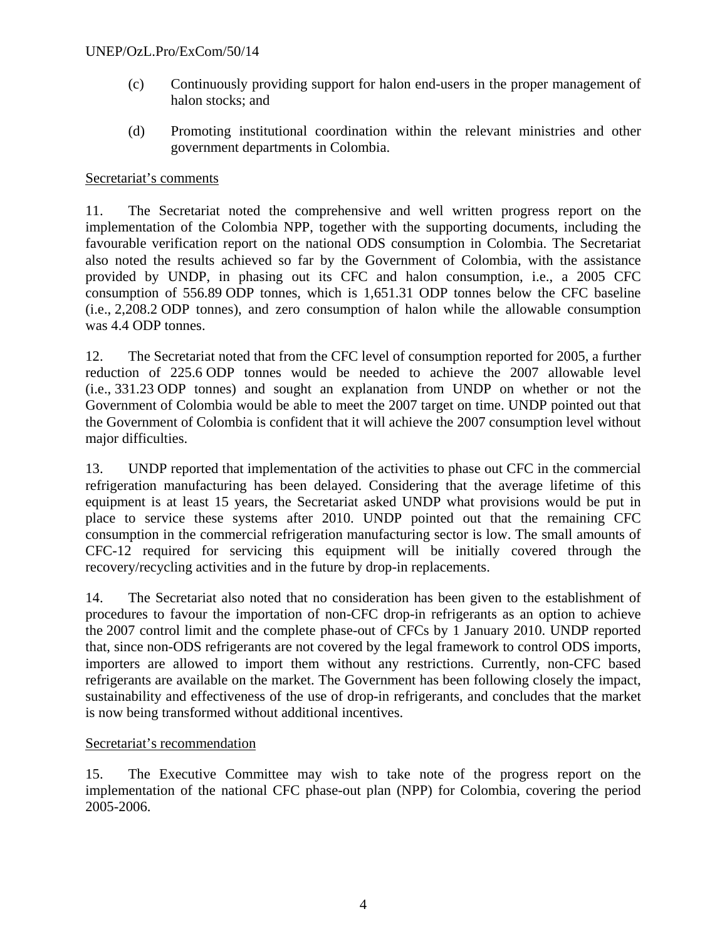#### UNEP/OzL.Pro/ExCom/50/14

- (c) Continuously providing support for halon end-users in the proper management of halon stocks; and
- (d) Promoting institutional coordination within the relevant ministries and other government departments in Colombia.

#### Secretariat's comments

11. The Secretariat noted the comprehensive and well written progress report on the implementation of the Colombia NPP, together with the supporting documents, including the favourable verification report on the national ODS consumption in Colombia. The Secretariat also noted the results achieved so far by the Government of Colombia, with the assistance provided by UNDP, in phasing out its CFC and halon consumption, i.e., a 2005 CFC consumption of 556.89 ODP tonnes, which is 1,651.31 ODP tonnes below the CFC baseline (i.e., 2,208.2 ODP tonnes), and zero consumption of halon while the allowable consumption was 4.4 ODP tonnes.

12. The Secretariat noted that from the CFC level of consumption reported for 2005, a further reduction of 225.6 ODP tonnes would be needed to achieve the 2007 allowable level (i.e., 331.23 ODP tonnes) and sought an explanation from UNDP on whether or not the Government of Colombia would be able to meet the 2007 target on time. UNDP pointed out that the Government of Colombia is confident that it will achieve the 2007 consumption level without major difficulties.

13. UNDP reported that implementation of the activities to phase out CFC in the commercial refrigeration manufacturing has been delayed. Considering that the average lifetime of this equipment is at least 15 years, the Secretariat asked UNDP what provisions would be put in place to service these systems after 2010. UNDP pointed out that the remaining CFC consumption in the commercial refrigeration manufacturing sector is low. The small amounts of CFC-12 required for servicing this equipment will be initially covered through the recovery/recycling activities and in the future by drop-in replacements.

14. The Secretariat also noted that no consideration has been given to the establishment of procedures to favour the importation of non-CFC drop-in refrigerants as an option to achieve the 2007 control limit and the complete phase-out of CFCs by 1 January 2010. UNDP reported that, since non-ODS refrigerants are not covered by the legal framework to control ODS imports, importers are allowed to import them without any restrictions. Currently, non-CFC based refrigerants are available on the market. The Government has been following closely the impact, sustainability and effectiveness of the use of drop-in refrigerants, and concludes that the market is now being transformed without additional incentives.

#### Secretariat's recommendation

15. The Executive Committee may wish to take note of the progress report on the implementation of the national CFC phase-out plan (NPP) for Colombia, covering the period 2005-2006.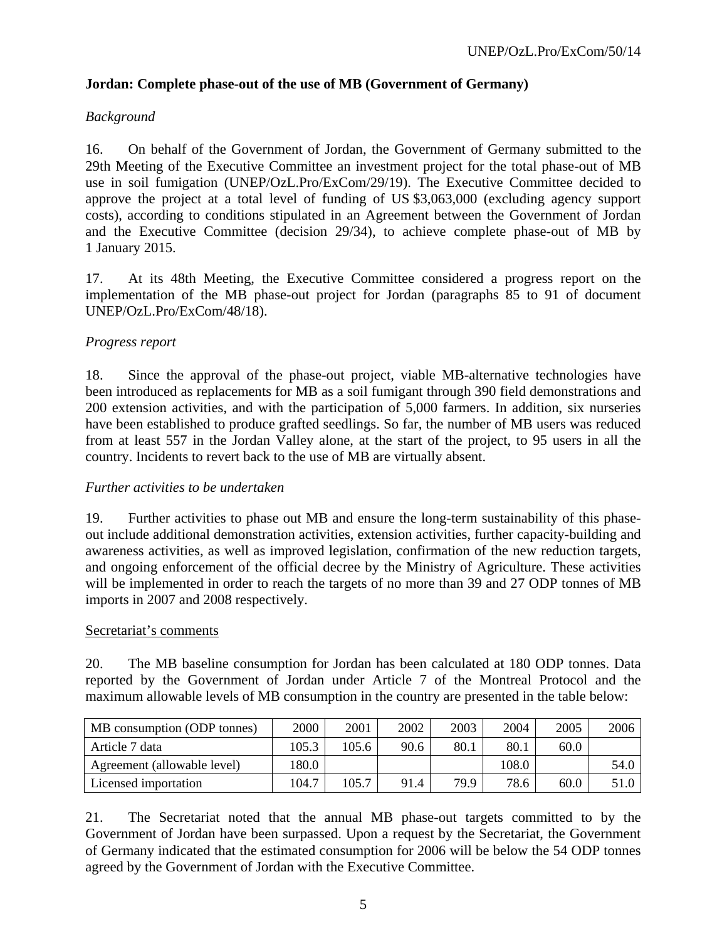# **Jordan: Complete phase-out of the use of MB (Government of Germany)**

# *Background*

16. On behalf of the Government of Jordan, the Government of Germany submitted to the 29th Meeting of the Executive Committee an investment project for the total phase-out of MB use in soil fumigation (UNEP/OzL.Pro/ExCom/29/19). The Executive Committee decided to approve the project at a total level of funding of US \$3,063,000 (excluding agency support costs), according to conditions stipulated in an Agreement between the Government of Jordan and the Executive Committee (decision 29/34), to achieve complete phase-out of MB by 1 January 2015.

17. At its 48th Meeting, the Executive Committee considered a progress report on the implementation of the MB phase-out project for Jordan (paragraphs 85 to 91 of document UNEP/OzL.Pro/ExCom/48/18).

# *Progress report*

18. Since the approval of the phase-out project, viable MB-alternative technologies have been introduced as replacements for MB as a soil fumigant through 390 field demonstrations and 200 extension activities, and with the participation of 5,000 farmers. In addition, six nurseries have been established to produce grafted seedlings. So far, the number of MB users was reduced from at least 557 in the Jordan Valley alone, at the start of the project, to 95 users in all the country. Incidents to revert back to the use of MB are virtually absent.

#### *Further activities to be undertaken*

19. Further activities to phase out MB and ensure the long-term sustainability of this phaseout include additional demonstration activities, extension activities, further capacity-building and awareness activities, as well as improved legislation, confirmation of the new reduction targets, and ongoing enforcement of the official decree by the Ministry of Agriculture. These activities will be implemented in order to reach the targets of no more than 39 and 27 ODP tonnes of MB imports in 2007 and 2008 respectively.

#### Secretariat's comments

20. The MB baseline consumption for Jordan has been calculated at 180 ODP tonnes. Data reported by the Government of Jordan under Article 7 of the Montreal Protocol and the maximum allowable levels of MB consumption in the country are presented in the table below:

| MB consumption (ODP tonnes) | 2000  | 2001  | 2002 | 2003 | 2004  | 2005 | 2006 |
|-----------------------------|-------|-------|------|------|-------|------|------|
| Article 7 data              | 105.3 | 105.6 | 90.6 | 80.1 | 80.1  | 60.0 |      |
| Agreement (allowable level) | 180.0 |       |      |      | 108.0 |      | 54.0 |
| Licensed importation        | 104.7 | 105.7 | 91.4 | 79.9 | 78.6  | 60.0 | 51.0 |

21. The Secretariat noted that the annual MB phase-out targets committed to by the Government of Jordan have been surpassed. Upon a request by the Secretariat, the Government of Germany indicated that the estimated consumption for 2006 will be below the 54 ODP tonnes agreed by the Government of Jordan with the Executive Committee.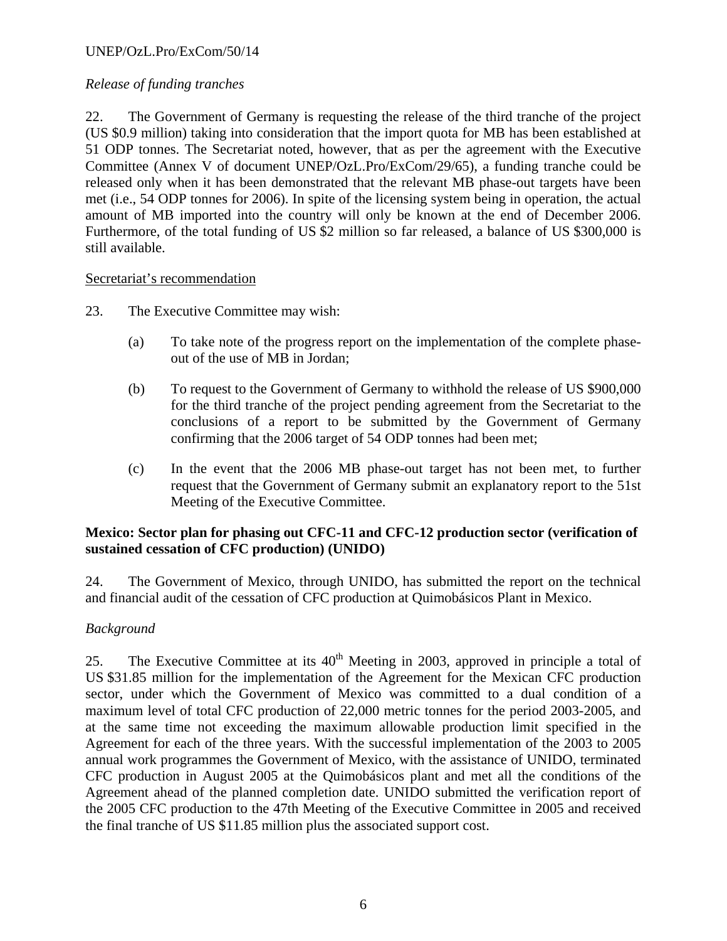# UNEP/OzL.Pro/ExCom/50/14

### *Release of funding tranches*

22. The Government of Germany is requesting the release of the third tranche of the project (US \$0.9 million) taking into consideration that the import quota for MB has been established at 51 ODP tonnes. The Secretariat noted, however, that as per the agreement with the Executive Committee (Annex V of document UNEP/OzL.Pro/ExCom/29/65), a funding tranche could be released only when it has been demonstrated that the relevant MB phase-out targets have been met (i.e., 54 ODP tonnes for 2006). In spite of the licensing system being in operation, the actual amount of MB imported into the country will only be known at the end of December 2006. Furthermore, of the total funding of US \$2 million so far released, a balance of US \$300,000 is still available.

#### Secretariat's recommendation

- 23. The Executive Committee may wish:
	- (a) To take note of the progress report on the implementation of the complete phaseout of the use of MB in Jordan;
	- (b) To request to the Government of Germany to withhold the release of US \$900,000 for the third tranche of the project pending agreement from the Secretariat to the conclusions of a report to be submitted by the Government of Germany confirming that the 2006 target of 54 ODP tonnes had been met;
	- (c) In the event that the 2006 MB phase-out target has not been met, to further request that the Government of Germany submit an explanatory report to the 51st Meeting of the Executive Committee.

# **Mexico: Sector plan for phasing out CFC-11 and CFC-12 production sector (verification of sustained cessation of CFC production) (UNIDO)**

24. The Government of Mexico, through UNIDO, has submitted the report on the technical and financial audit of the cessation of CFC production at Quimobásicos Plant in Mexico.

#### *Background*

25. The Executive Committee at its  $40<sup>th</sup>$  Meeting in 2003, approved in principle a total of US \$31.85 million for the implementation of the Agreement for the Mexican CFC production sector, under which the Government of Mexico was committed to a dual condition of a maximum level of total CFC production of 22,000 metric tonnes for the period 2003-2005, and at the same time not exceeding the maximum allowable production limit specified in the Agreement for each of the three years. With the successful implementation of the 2003 to 2005 annual work programmes the Government of Mexico, with the assistance of UNIDO, terminated CFC production in August 2005 at the Quimobásicos plant and met all the conditions of the Agreement ahead of the planned completion date. UNIDO submitted the verification report of the 2005 CFC production to the 47th Meeting of the Executive Committee in 2005 and received the final tranche of US \$11.85 million plus the associated support cost.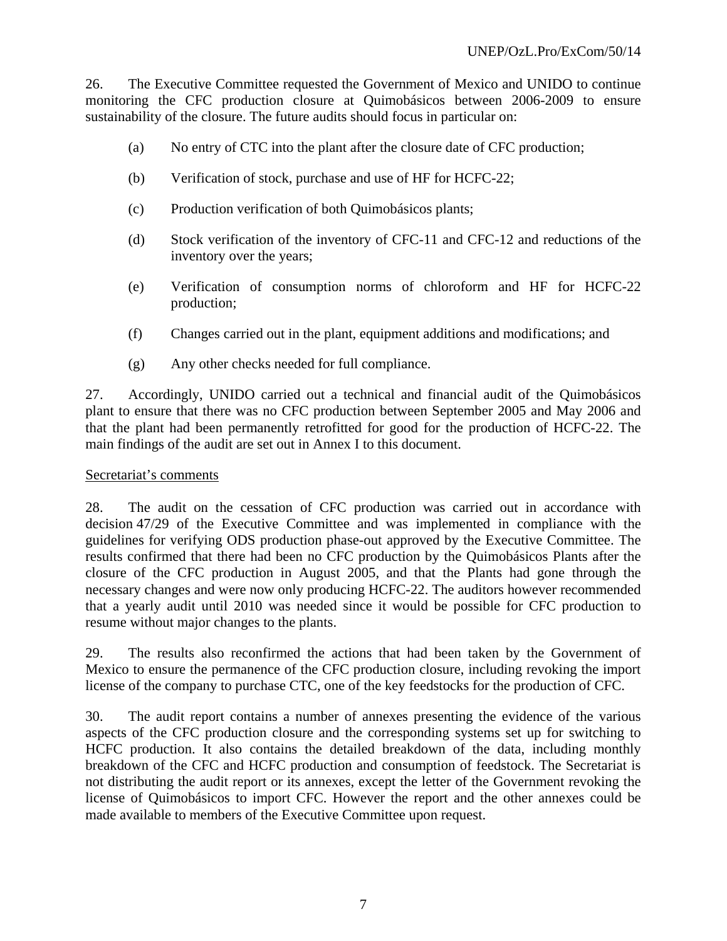26. The Executive Committee requested the Government of Mexico and UNIDO to continue monitoring the CFC production closure at Quimobásicos between 2006-2009 to ensure sustainability of the closure. The future audits should focus in particular on:

- (a) No entry of CTC into the plant after the closure date of CFC production;
- (b) Verification of stock, purchase and use of HF for HCFC-22;
- (c) Production verification of both Quimobásicos plants;
- (d) Stock verification of the inventory of CFC-11 and CFC-12 and reductions of the inventory over the years;
- (e) Verification of consumption norms of chloroform and HF for HCFC-22 production;
- (f) Changes carried out in the plant, equipment additions and modifications; and
- (g) Any other checks needed for full compliance.

27. Accordingly, UNIDO carried out a technical and financial audit of the Quimobásicos plant to ensure that there was no CFC production between September 2005 and May 2006 and that the plant had been permanently retrofitted for good for the production of HCFC-22. The main findings of the audit are set out in Annex I to this document.

#### Secretariat's comments

28. The audit on the cessation of CFC production was carried out in accordance with decision 47/29 of the Executive Committee and was implemented in compliance with the guidelines for verifying ODS production phase-out approved by the Executive Committee. The results confirmed that there had been no CFC production by the Quimobásicos Plants after the closure of the CFC production in August 2005, and that the Plants had gone through the necessary changes and were now only producing HCFC-22. The auditors however recommended that a yearly audit until 2010 was needed since it would be possible for CFC production to resume without major changes to the plants.

29. The results also reconfirmed the actions that had been taken by the Government of Mexico to ensure the permanence of the CFC production closure, including revoking the import license of the company to purchase CTC, one of the key feedstocks for the production of CFC.

30. The audit report contains a number of annexes presenting the evidence of the various aspects of the CFC production closure and the corresponding systems set up for switching to HCFC production. It also contains the detailed breakdown of the data, including monthly breakdown of the CFC and HCFC production and consumption of feedstock. The Secretariat is not distributing the audit report or its annexes, except the letter of the Government revoking the license of Quimobásicos to import CFC. However the report and the other annexes could be made available to members of the Executive Committee upon request.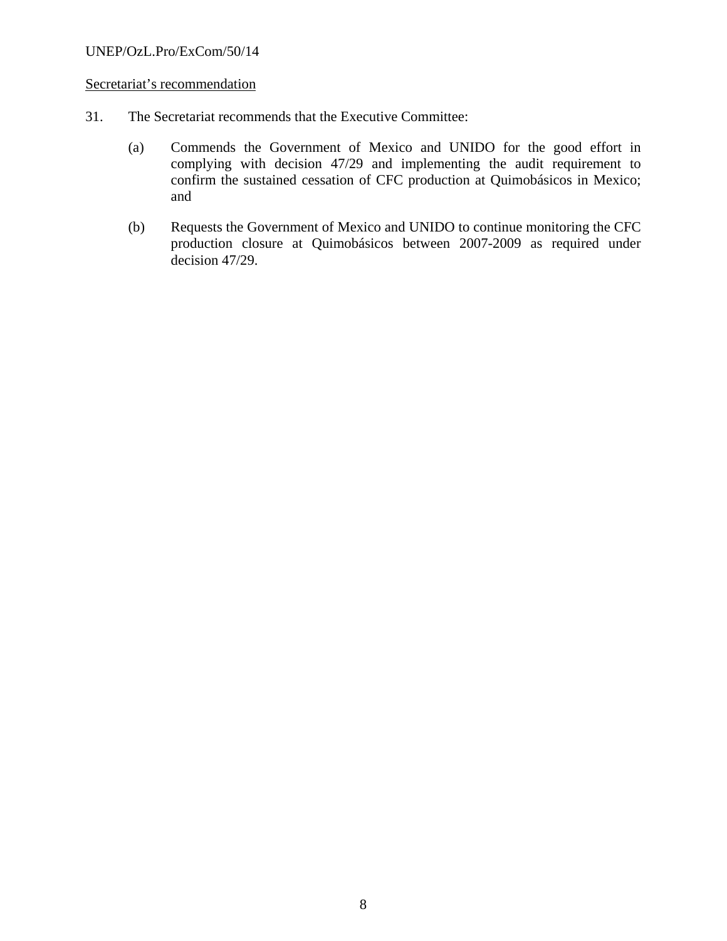# Secretariat's recommendation

- 31. The Secretariat recommends that the Executive Committee:
	- (a) Commends the Government of Mexico and UNIDO for the good effort in complying with decision 47/29 and implementing the audit requirement to confirm the sustained cessation of CFC production at Quimobásicos in Mexico; and
	- (b) Requests the Government of Mexico and UNIDO to continue monitoring the CFC production closure at Quimobásicos between 2007-2009 as required under decision 47/29.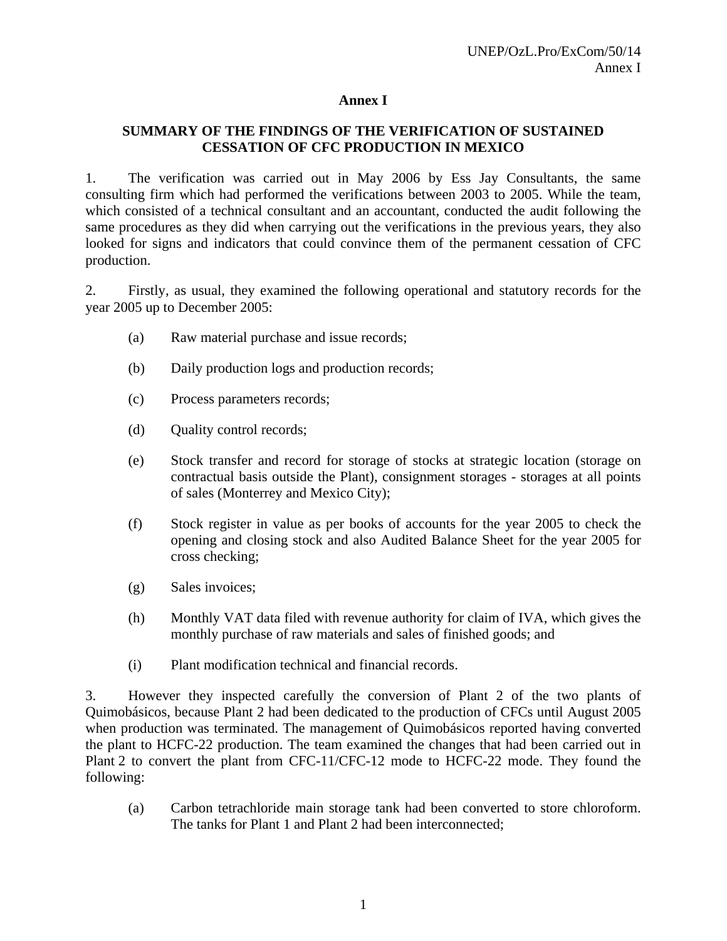# **Annex I**

# **SUMMARY OF THE FINDINGS OF THE VERIFICATION OF SUSTAINED CESSATION OF CFC PRODUCTION IN MEXICO**

1. The verification was carried out in May 2006 by Ess Jay Consultants, the same consulting firm which had performed the verifications between 2003 to 2005. While the team, which consisted of a technical consultant and an accountant, conducted the audit following the same procedures as they did when carrying out the verifications in the previous years, they also looked for signs and indicators that could convince them of the permanent cessation of CFC production.

2. Firstly, as usual, they examined the following operational and statutory records for the year 2005 up to December 2005:

- (a) Raw material purchase and issue records;
- (b) Daily production logs and production records;
- (c) Process parameters records;
- (d) Quality control records;
- (e) Stock transfer and record for storage of stocks at strategic location (storage on contractual basis outside the Plant), consignment storages - storages at all points of sales (Monterrey and Mexico City);
- (f) Stock register in value as per books of accounts for the year 2005 to check the opening and closing stock and also Audited Balance Sheet for the year 2005 for cross checking;
- (g) Sales invoices;
- (h) Monthly VAT data filed with revenue authority for claim of IVA, which gives the monthly purchase of raw materials and sales of finished goods; and
- (i) Plant modification technical and financial records.

3. However they inspected carefully the conversion of Plant 2 of the two plants of Quimobásicos, because Plant 2 had been dedicated to the production of CFCs until August 2005 when production was terminated. The management of Quimobásicos reported having converted the plant to HCFC-22 production. The team examined the changes that had been carried out in Plant 2 to convert the plant from CFC-11/CFC-12 mode to HCFC-22 mode. They found the following:

(a) Carbon tetrachloride main storage tank had been converted to store chloroform. The tanks for Plant 1 and Plant 2 had been interconnected;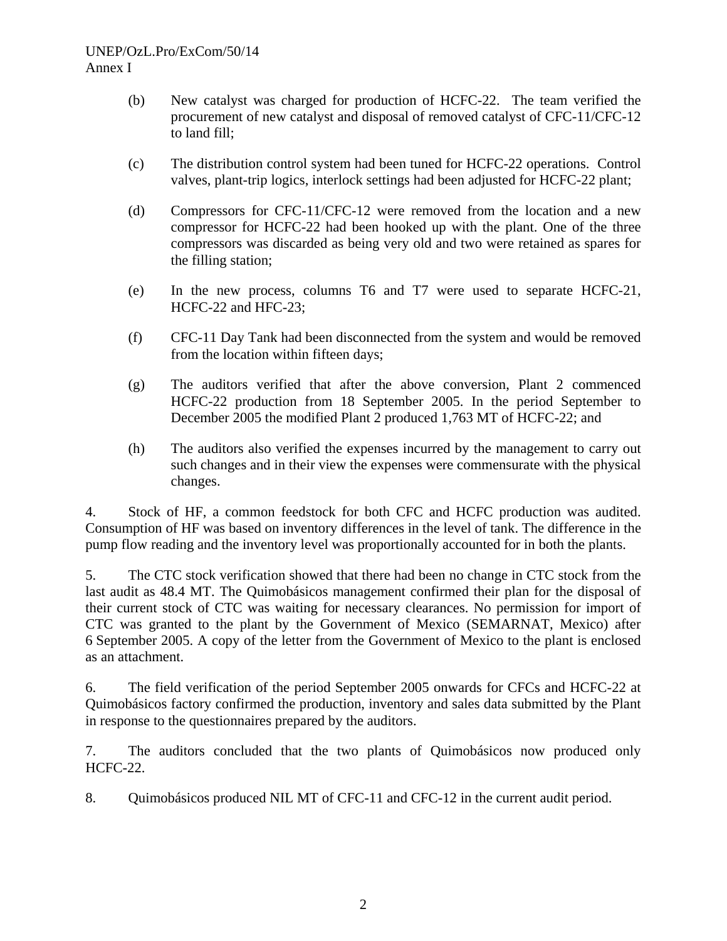# UNEP/OzL.Pro/ExCom/50/14 Annex I

- (b) New catalyst was charged for production of HCFC-22. The team verified the procurement of new catalyst and disposal of removed catalyst of CFC-11/CFC-12 to land fill;
- (c) The distribution control system had been tuned for HCFC-22 operations. Control valves, plant-trip logics, interlock settings had been adjusted for HCFC-22 plant;
- (d) Compressors for CFC-11/CFC-12 were removed from the location and a new compressor for HCFC-22 had been hooked up with the plant. One of the three compressors was discarded as being very old and two were retained as spares for the filling station;
- (e) In the new process, columns T6 and T7 were used to separate HCFC-21, HCFC-22 and HFC-23;
- (f) CFC-11 Day Tank had been disconnected from the system and would be removed from the location within fifteen days;
- (g) The auditors verified that after the above conversion, Plant 2 commenced HCFC-22 production from 18 September 2005. In the period September to December 2005 the modified Plant 2 produced 1,763 MT of HCFC-22; and
- (h) The auditors also verified the expenses incurred by the management to carry out such changes and in their view the expenses were commensurate with the physical changes.

4. Stock of HF, a common feedstock for both CFC and HCFC production was audited. Consumption of HF was based on inventory differences in the level of tank. The difference in the pump flow reading and the inventory level was proportionally accounted for in both the plants.

5. The CTC stock verification showed that there had been no change in CTC stock from the last audit as 48.4 MT. The Quimobásicos management confirmed their plan for the disposal of their current stock of CTC was waiting for necessary clearances. No permission for import of CTC was granted to the plant by the Government of Mexico (SEMARNAT, Mexico) after 6 September 2005. A copy of the letter from the Government of Mexico to the plant is enclosed as an attachment.

6. The field verification of the period September 2005 onwards for CFCs and HCFC-22 at Quimobásicos factory confirmed the production, inventory and sales data submitted by the Plant in response to the questionnaires prepared by the auditors.

7. The auditors concluded that the two plants of Quimobásicos now produced only HCFC-22.

8. Quimobásicos produced NIL MT of CFC-11 and CFC-12 in the current audit period.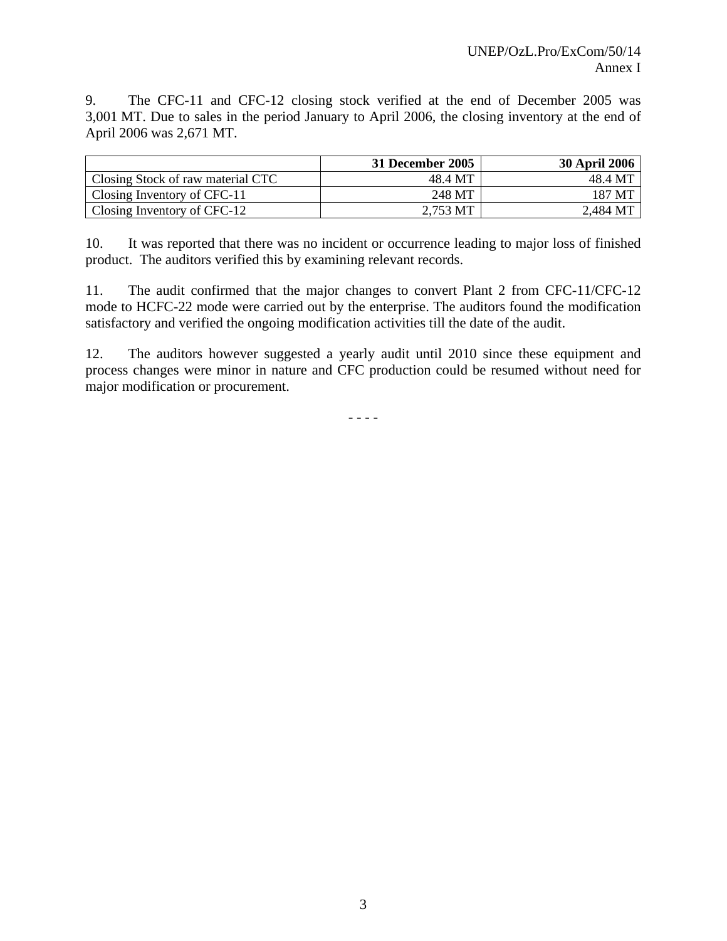9. The CFC-11 and CFC-12 closing stock verified at the end of December 2005 was 3,001 MT. Due to sales in the period January to April 2006, the closing inventory at the end of April 2006 was 2,671 MT.

|                                   | 31 December 2005 | <b>30 April 2006</b> |
|-----------------------------------|------------------|----------------------|
| Closing Stock of raw material CTC | 48.4 MT          | 48.4 MT              |
| Closing Inventory of CFC-11       | 248 MT           | 187 MT               |
| Closing Inventory of CFC-12       | 2,753 MT         | 2,484 MT             |

10. It was reported that there was no incident or occurrence leading to major loss of finished product. The auditors verified this by examining relevant records.

11. The audit confirmed that the major changes to convert Plant 2 from CFC-11/CFC-12 mode to HCFC-22 mode were carried out by the enterprise. The auditors found the modification satisfactory and verified the ongoing modification activities till the date of the audit.

12. The auditors however suggested a yearly audit until 2010 since these equipment and process changes were minor in nature and CFC production could be resumed without need for major modification or procurement.

 $- - - -$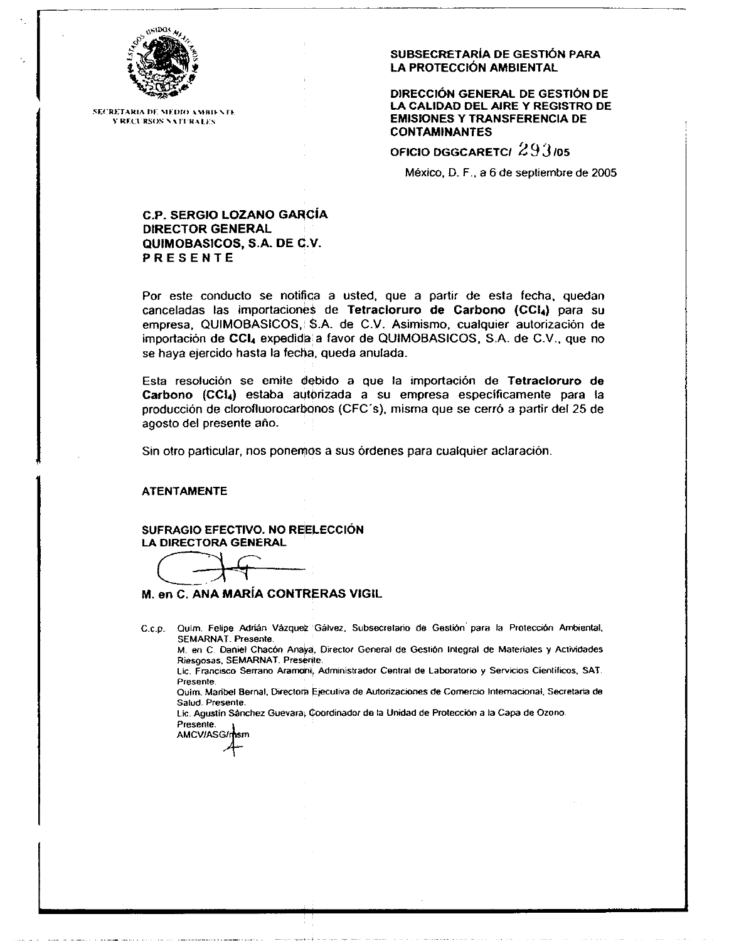

**SECRETARIA DE MEDIO AMBIENTE Y RECURSOS NATURALES** 

#### SUBSECRETARÍA DE GESTIÓN PARA LA PROTECCIÓN AMBIENTAL

DIRECCIÓN GENERAL DE GESTIÓN DE LA CALIDAD DEL AIRE Y REGISTRO DE **EMISIONES Y TRANSFERENCIA DE CONTAMINANTES** 

OFICIO DGGCARETCI 293/05

México, D. F., a 6 de septiembre de 2005

#### **C.P. SERGIO LOZANO GARCÍA DIRECTOR GENERAL** QUIMOBASICOS, S.A. DE C.V. **PRESENTE**

Por este conducto se notifica a usted, que a partir de esta fecha, quedan canceladas las importaciones de Tetracioruro de Carbono (CCI4) para su empresa, QUIMOBASICOS, \$.A. de C.V. Asimismo, cualquier autorización de importación de CCI4 expedida a favor de QUIMOBASICOS, S.A. de C.V., que no se haya ejercido hasta la fecha, queda anulada.

Esta resolución se emite debido a que la importación de Tetracloruro de Carbono (CCI4) estaba autorizada a su empresa específicamente para la producción de clorofluorocarbonos (CFC's), misma que se cerró a partir del 25 de agosto del presente año.

Sin otro particular, nos ponemos a sus órdenes para cualquier aclaración.

#### **ATENTAMENTE**

SUFRAGIO EFECTIVO. NO REELECCIÓN LA DIRECTORA GENERAL

M. en C. ANA MARÍA CONTRERAS VIGIL

C.c.p. Quim. Felipe Adrián Vázquez Gálvez, Subsecretario de Gestión para la Protección Ambiental, SEMARNAT. Presente.

M. en C. Daniel Chacón Anaya, Director General de Gestión Integral de Materiales y Actividades Riesgosas, SEMARNAT, Presente.

Lic. Francisco Serrano Aramoni, Administrador Central de Laboratorio y Servicios Científicos, SAT. Presente.

Quim. Maribel Bernal, Directora Ejecutiva de Autorizaciones de Cornercio Internacional, Secretaria de Salud. Presente.

Lic. Agustín Sánchez Guevara; Coordinador de la Unidad de Protección a la Capa de Ozono. Presente.

**AMCV/ASG/msm**